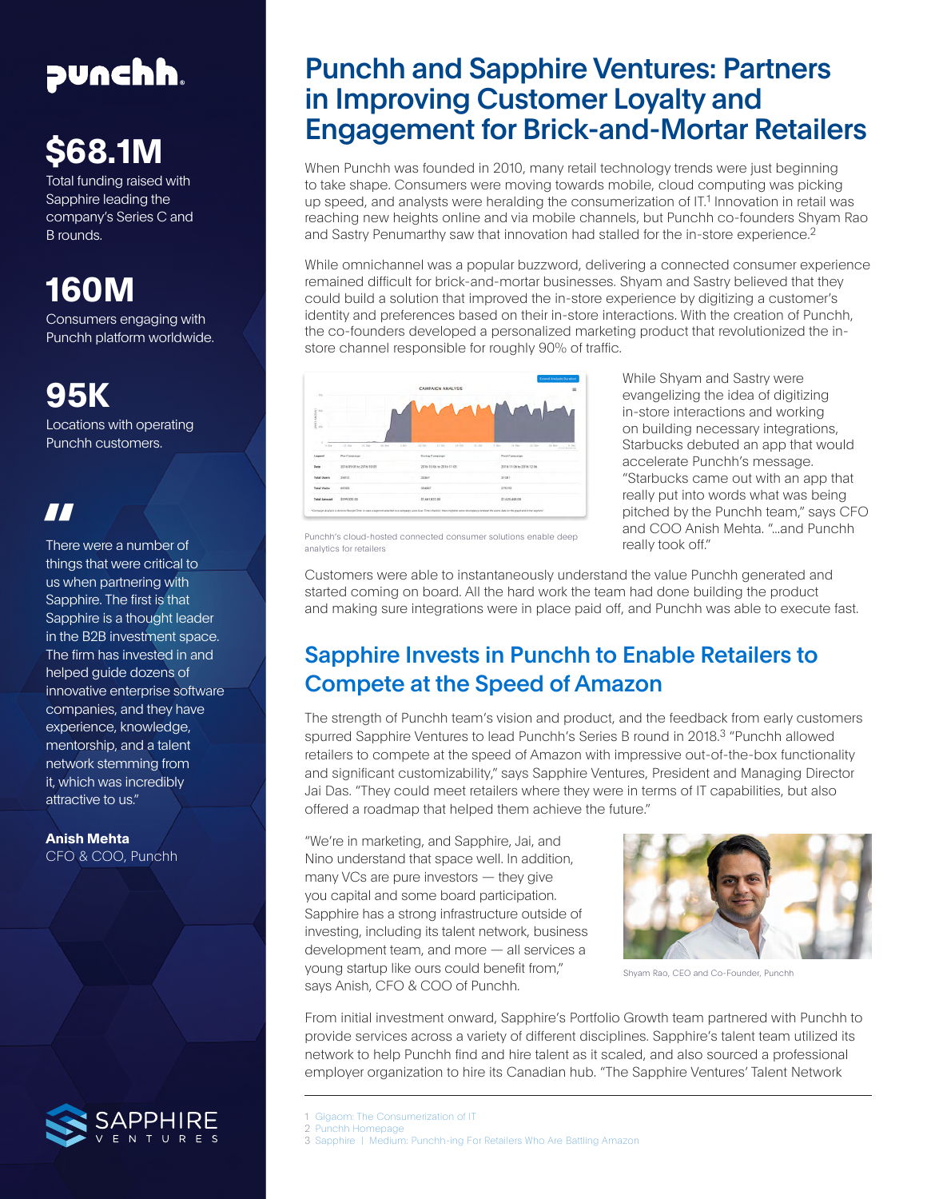## punchh.

# **\$68.1M**

Total funding raised with Sapphire leading the company's Series C and B rounds.

## **160M**

Consumers engaging with Punchh platform worldwide.

## **95K**

Locations with operating Punchh customers.

### **"**

There were a number of things that were critical to us when partnering with Sapphire. The first is that Sapphire is a thought leader in the B2B investment space. The firm has invested in and helped guide dozens of innovative enterprise software companies, and they have experience, knowledge, mentorship, and a talent network stemming from it, which was incredibly attractive to us."

**Anish Mehta** CFO & COO, Punchh



## Punchh and Sapphire Ventures: Partners in Improving Customer Loyalty and Engagement for Brick-and-Mortar Retailers

When Punchh was founded in 2010, many retail technology trends were just beginning to take shape. Consumers were moving towards mobile, cloud computing was picking up speed, and analysts were heralding the consumerization of IT.1 Innovation in retail was reaching new heights online and via mobile channels, but Punchh co-founders Shyam Rao and Sastry Penumarthy saw that innovation had stalled for the in-store experience.2

While omnichannel was a popular buzzword, delivering a connected consumer experience remained difficult for brick-and-mortar businesses. Shyam and Sastry believed that they could build a solution that improved the in-store experience by digitizing a customer's identity and preferences based on their in-store interactions. With the creation of Punchh, the co-founders developed a personalized marketing product that revolutionized the instore channel responsible for roughly 90% of traffic.



While Shyam and Sastry were evangelizing the idea of digitizing in-store interactions and working on building necessary integrations, Starbucks debuted an app that would accelerate Punchh's message. "Starbucks came out with an app that really put into words what was being pitched by the Punchh team," says CFO and COO Anish Mehta. "...and Punchh really took off."

Punchh's cloud-hosted connected consumer solutions enable deep analytics for retailers

Customers were able to instantaneously understand the value Punchh generated and started coming on board. All the hard work the team had done building the product and making sure integrations were in place paid off, and Punchh was able to execute fast.

#### Sapphire Invests in Punchh to Enable Retailers to Compete at the Speed of Amazon

The strength of Punchh team's vision and product, and the feedback from early customers spurred Sapphire Ventures to lead Punchh's Series B round in 2018.<sup>3</sup> "Punchh allowed retailers to compete at the speed of Amazon with impressive out-of-the-box functionality and significant customizability," says Sapphire Ventures, President and Managing Director Jai Das. "They could meet retailers where they were in terms of IT capabilities, but also offered a roadmap that helped them achieve the future."

"We're in marketing, and Sapphire, Jai, and Nino understand that space well. In addition, many VCs are pure investors — they give you capital and some board participation. Sapphire has a strong infrastructure outside of investing, including its talent network, business development team, and more — all services a young startup like ours could benefit from," says Anish, CFO & COO of Punchh.



Shyam Rao, CEO and Co-Founder, Punchh

From initial investment onward, Sapphire's Portfolio Growth team partnered with Punchh to provide services across a variety of different disciplines. Sapphire's talent team utilized its network to help Punchh find and hire talent as it scaled, and also sourced a professional employer organization to hire its Canadian hub. "The Sapphire Ventures' Talent Network

2 [Punchh](https://punchh.com/) Homepage

<sup>1</sup> [Gigaom: The Consumerization of IT](https://gigaom.com/2010/10/29/the-consumerization-of-it/)

<sup>3</sup> [Sapphire | Medium: Punchh-ing For Retailers Who Are Battling Amazon](https://medium.com/sapphire-ventures-perspectives/punchh-ing-for-retailers-who-are-battling-amazon-1756c2b98537)